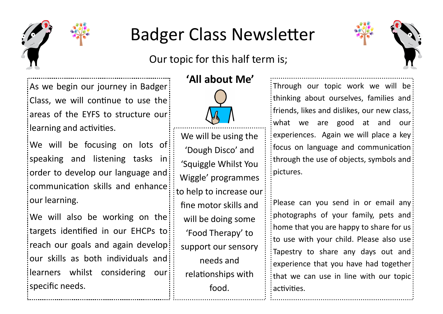

## Badger Class Newsletter

Our topic for this half term is;



As we begin our journey in Badger Class, we will continue to use the areas of the EYFS to structure our learning and activities.

We will be focusing on lots of speaking and listening tasks in order to develop our language and communication skills and enhance our learning.

We will also be working on the targets identified in our EHCPs to reach our goals and again develop our skills as both individuals and learners whilst considering our specific needs.

## **'All about Me'**



We will be using the 'Dough Disco' and 'Squiggle Whilst You Wiggle' programmes to help to increase our fine motor skills and will be doing some 'Food Therapy' to support our sensory needs and relationships with food.

Through our topic work we will be thinking about ourselves, families and:  $\vdots$  friends, likes and dislikes, our new class,  $\vdots$ what we are good at and our experiences. Again we will place a key focus on language and communication through the use of objects, symbols and pictures.

Please can you send in or email any: photographs of your family, pets and home that you are happy to share for us: to use with your child. Please also use Tapestry to share any days out and experience that you have had together  $\frac{1}{2}$ that we can use in line with our topic: activities.